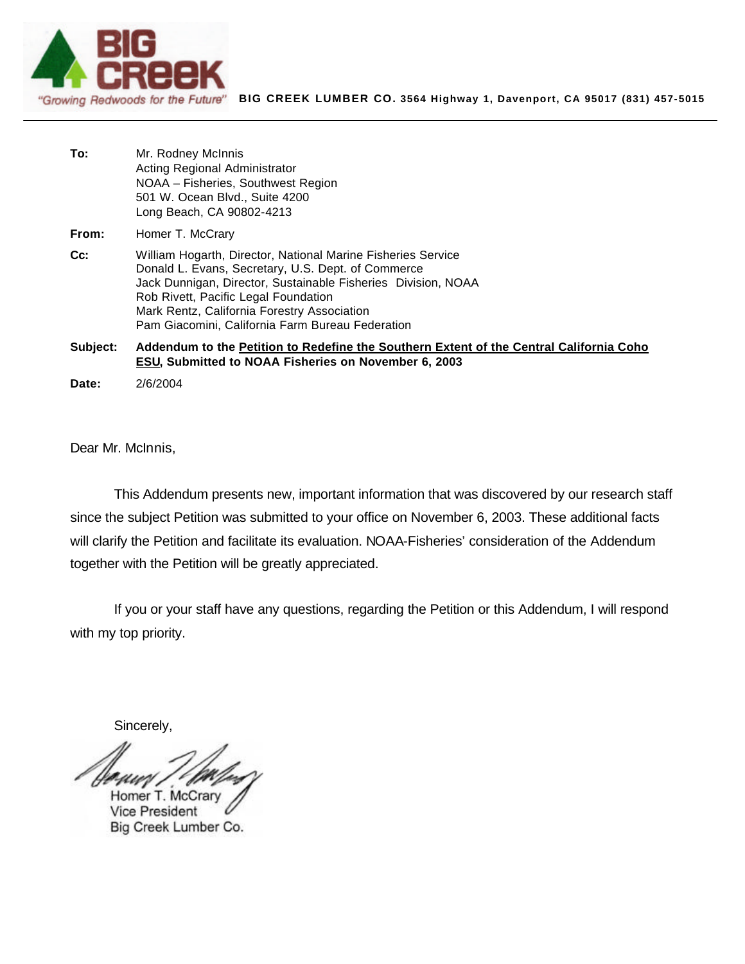

| To: | Mr. Rodney McInnis                 |
|-----|------------------------------------|
|     | Acting Regional Administrator      |
|     | NOAA - Fisheries, Southwest Region |
|     | 501 W. Ocean Blvd., Suite 4200     |
|     | Long Beach, CA 90802-4213          |
|     |                                    |

From: Homer T. McCrary

**Cc:** William Hogarth, Director, National Marine Fisheries Service Donald L. Evans, Secretary, U.S. Dept. of Commerce Jack Dunnigan, Director, Sustainable Fisheries Division, NOAA Rob Rivett, Pacific Legal Foundation Mark Rentz, California Forestry Association Pam Giacomini, California Farm Bureau Federation

**Subject: Addendum to the Petition to Redefine the Southern Extent of the Central California Coho ESU, Submitted to NOAA Fisheries on November 6, 2003**

**Date:** 2/6/2004

Dear Mr. McInnis,

This Addendum presents new, important information that was discovered by our research staff since the subject Petition was submitted to your office on November 6, 2003. These additional facts will clarify the Petition and facilitate its evaluation. NOAA-Fisheries' consideration of the Addendum together with the Petition will be greatly appreciated.

If you or your staff have any questions, regarding the Petition or this Addendum, I will respond with my top priority.

Sincerely,

Homer T. McCran **Vice President** Big Creek Lumber Co.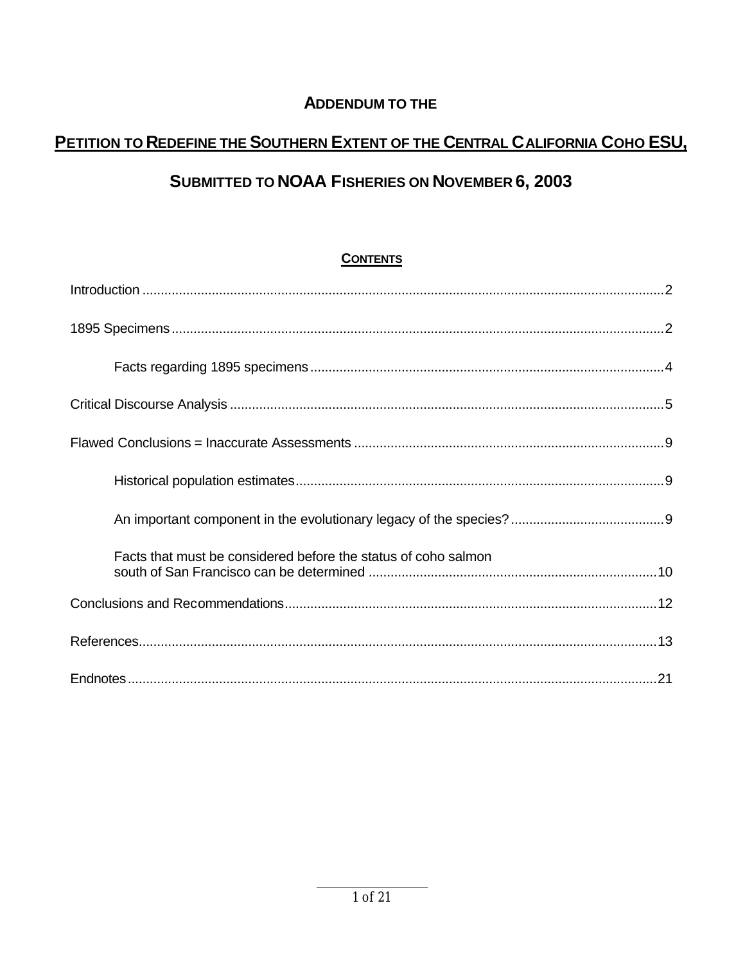## **ADDENDUM TO THE**

# PETITION TO REDEFINE THE SOUTHERN EXTENT OF THE CENTRAL CALIFORNIA COHO ESU,

## SUBMITTED TO NOAA FISHERIES ON NOVEMBER 6, 2003

## **CONTENTS**

| Facts that must be considered before the status of coho salmon |  |  |
|----------------------------------------------------------------|--|--|
|                                                                |  |  |
|                                                                |  |  |
|                                                                |  |  |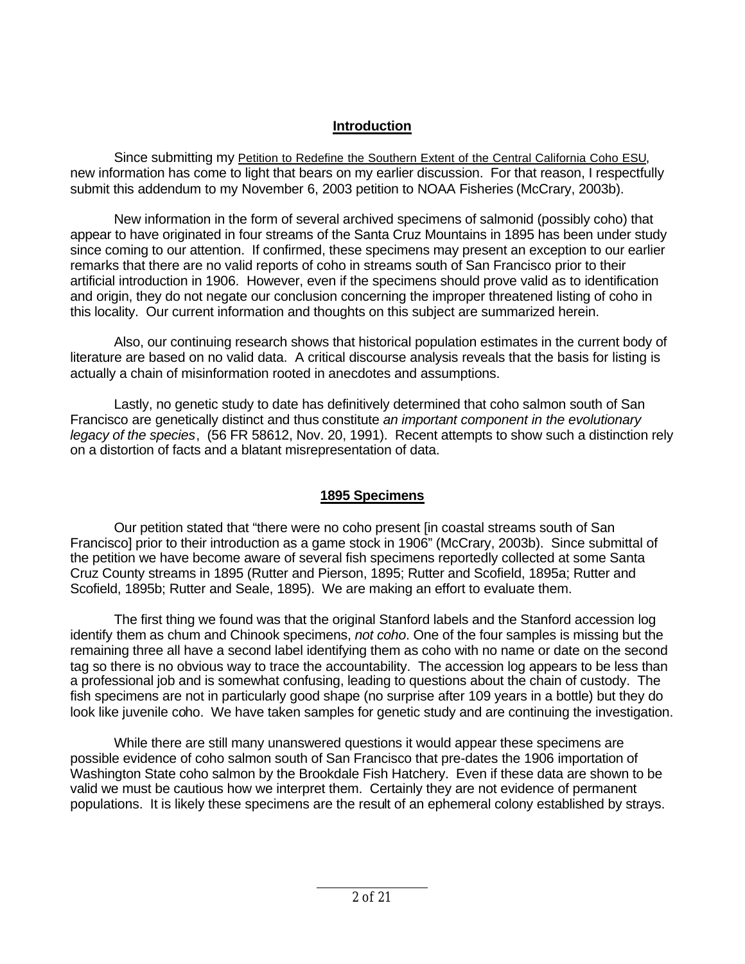### **Introduction**

Since submitting my Petition to Redefine the Southern Extent of the Central California Coho ESU, new information has come to light that bears on my earlier discussion. For that reason, I respectfully submit this addendum to my November 6, 2003 petition to NOAA Fisheries (McCrary, 2003b).

New information in the form of several archived specimens of salmonid (possibly coho) that appear to have originated in four streams of the Santa Cruz Mountains in 1895 has been under study since coming to our attention. If confirmed, these specimens may present an exception to our earlier remarks that there are no valid reports of coho in streams south of San Francisco prior to their artificial introduction in 1906. However, even if the specimens should prove valid as to identification and origin, they do not negate our conclusion concerning the improper threatened listing of coho in this locality. Our current information and thoughts on this subject are summarized herein.

Also, our continuing research shows that historical population estimates in the current body of literature are based on no valid data. A critical discourse analysis reveals that the basis for listing is actually a chain of misinformation rooted in anecdotes and assumptions.

Lastly, no genetic study to date has definitively determined that coho salmon south of San Francisco are genetically distinct and thus constitute *an important component in the evolutionary legacy of the species*, (56 FR 58612, Nov. 20, 1991). Recent attempts to show such a distinction rely on a distortion of facts and a blatant misrepresentation of data.

### **1895 Specimens**

Our petition stated that "there were no coho present [in coastal streams south of San Francisco] prior to their introduction as a game stock in 1906" (McCrary, 2003b). Since submittal of the petition we have become aware of several fish specimens reportedly collected at some Santa Cruz County streams in 1895 (Rutter and Pierson, 1895; Rutter and Scofield, 1895a; Rutter and Scofield, 1895b; Rutter and Seale, 1895). We are making an effort to evaluate them.

The first thing we found was that the original Stanford labels and the Stanford accession log identify them as chum and Chinook specimens, *not coho*. One of the four samples is missing but the remaining three all have a second label identifying them as coho with no name or date on the second tag so there is no obvious way to trace the accountability. The accession log appears to be less than a professional job and is somewhat confusing, leading to questions about the chain of custody. The fish specimens are not in particularly good shape (no surprise after 109 years in a bottle) but they do look like juvenile coho. We have taken samples for genetic study and are continuing the investigation.

While there are still many unanswered questions it would appear these specimens are possible evidence of coho salmon south of San Francisco that pre-dates the 1906 importation of Washington State coho salmon by the Brookdale Fish Hatchery. Even if these data are shown to be valid we must be cautious how we interpret them. Certainly they are not evidence of permanent populations. It is likely these specimens are the result of an ephemeral colony established by strays.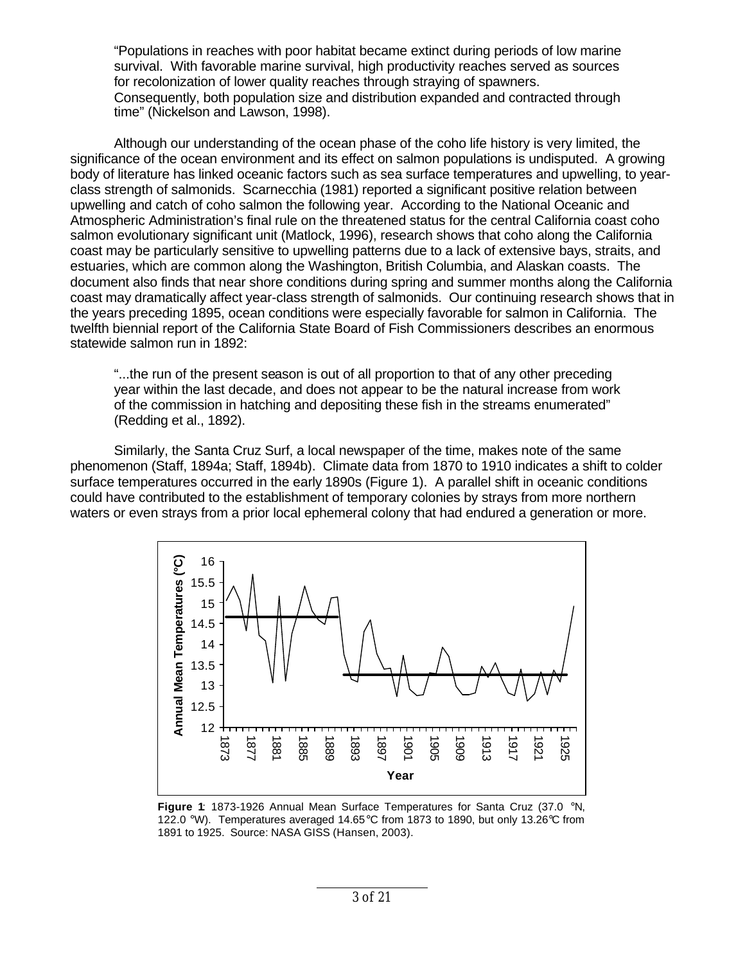"Populations in reaches with poor habitat became extinct during periods of low marine survival. With favorable marine survival, high productivity reaches served as sources for recolonization of lower quality reaches through straying of spawners. Consequently, both population size and distribution expanded and contracted through time" (Nickelson and Lawson, 1998).

Although our understanding of the ocean phase of the coho life history is very limited, the significance of the ocean environment and its effect on salmon populations is undisputed. A growing body of literature has linked oceanic factors such as sea surface temperatures and upwelling, to yearclass strength of salmonids. Scarnecchia (1981) reported a significant positive relation between upwelling and catch of coho salmon the following year. According to the National Oceanic and Atmospheric Administration's final rule on the threatened status for the central California coast coho salmon evolutionary significant unit (Matlock, 1996), research shows that coho along the California coast may be particularly sensitive to upwelling patterns due to a lack of extensive bays, straits, and estuaries, which are common along the Washington, British Columbia, and Alaskan coasts. The document also finds that near shore conditions during spring and summer months along the California coast may dramatically affect year-class strength of salmonids. Our continuing research shows that in the years preceding 1895, ocean conditions were especially favorable for salmon in California. The twelfth biennial report of the California State Board of Fish Commissioners describes an enormous statewide salmon run in 1892:

"...the run of the present season is out of all proportion to that of any other preceding year within the last decade, and does not appear to be the natural increase from work of the commission in hatching and depositing these fish in the streams enumerated" (Redding et al., 1892).

Similarly, the Santa Cruz Surf, a local newspaper of the time, makes note of the same phenomenon (Staff, 1894a; Staff, 1894b). Climate data from 1870 to 1910 indicates a shift to colder surface temperatures occurred in the early 1890s (Figure 1). A parallel shift in oceanic conditions could have contributed to the establishment of temporary colonies by strays from more northern waters or even strays from a prior local ephemeral colony that had endured a generation or more.



**Figure 1**: 1873-1926 Annual Mean Surface Temperatures for Santa Cruz (37.0 °N, 122.0 °W). Temperatures averaged 14.65°C from 1873 to 1890, but only 13.26°C from 1891 to 1925. Source: NASA GISS (Hansen, 2003).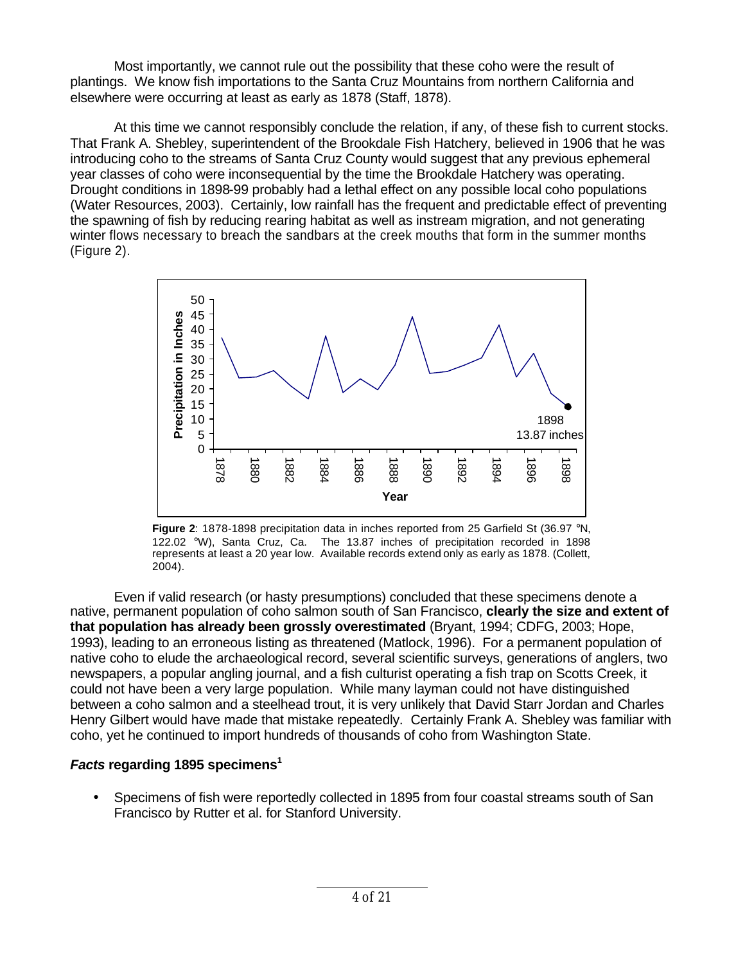Most importantly, we cannot rule out the possibility that these coho were the result of plantings. We know fish importations to the Santa Cruz Mountains from northern California and elsewhere were occurring at least as early as 1878 (Staff, 1878).

At this time we cannot responsibly conclude the relation, if any, of these fish to current stocks. That Frank A. Shebley, superintendent of the Brookdale Fish Hatchery, believed in 1906 that he was introducing coho to the streams of Santa Cruz County would suggest that any previous ephemeral year classes of coho were inconsequential by the time the Brookdale Hatchery was operating. Drought conditions in 1898-99 probably had a lethal effect on any possible local coho populations (Water Resources, 2003). Certainly, low rainfall has the frequent and predictable effect of preventing the spawning of fish by reducing rearing habitat as well as instream migration, and not generating winter flows necessary to breach the sandbars at the creek mouths that form in the summer months (Figure 2).



**Figure 2**: 1878-1898 precipitation data in inches reported from 25 Garfield St (36.97 °N, 122.02 °W), Santa Cruz, Ca. The 13.87 inches of precipitation recorded in 1898 represents at least a 20 year low. Available records extend only as early as 1878. (Collett, 2004).

Even if valid research (or hasty presumptions) concluded that these specimens denote a native, permanent population of coho salmon south of San Francisco, **clearly the size and extent of that population has already been grossly overestimated** (Bryant, 1994; CDFG, 2003; Hope, 1993), leading to an erroneous listing as threatened (Matlock, 1996). For a permanent population of native coho to elude the archaeological record, several scientific surveys, generations of anglers, two newspapers, a popular angling journal, and a fish culturist operating a fish trap on Scotts Creek, it could not have been a very large population. While many layman could not have distinguished between a coho salmon and a steelhead trout, it is very unlikely that David Starr Jordan and Charles Henry Gilbert would have made that mistake repeatedly. Certainly Frank A. Shebley was familiar with coho, yet he continued to import hundreds of thousands of coho from Washington State.

### *Facts* **regarding 1895 specimens<sup>1</sup>**

• Specimens of fish were reportedly collected in 1895 from four coastal streams south of San Francisco by Rutter et al. for Stanford University.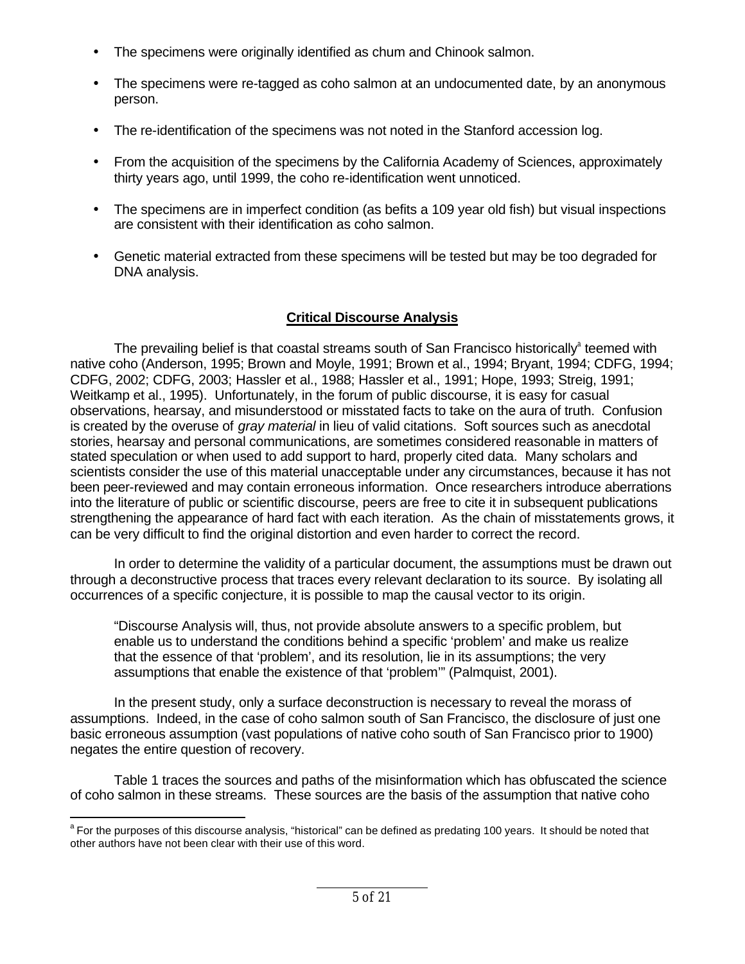- The specimens were originally identified as chum and Chinook salmon.
- The specimens were re-tagged as coho salmon at an undocumented date, by an anonymous person.
- The re-identification of the specimens was not noted in the Stanford accession log.
- From the acquisition of the specimens by the California Academy of Sciences, approximately thirty years ago, until 1999, the coho re-identification went unnoticed.
- The specimens are in imperfect condition (as befits a 109 year old fish) but visual inspections are consistent with their identification as coho salmon.
- Genetic material extracted from these specimens will be tested but may be too degraded for DNA analysis.

## **Critical Discourse Analysis**

The prevailing belief is that coastal streams south of San Francisco historically $^{\circ}$  teemed with native coho (Anderson, 1995; Brown and Moyle, 1991; Brown et al., 1994; Bryant, 1994; CDFG, 1994; CDFG, 2002; CDFG, 2003; Hassler et al., 1988; Hassler et al., 1991; Hope, 1993; Streig, 1991; Weitkamp et al., 1995). Unfortunately, in the forum of public discourse, it is easy for casual observations, hearsay, and misunderstood or misstated facts to take on the aura of truth. Confusion is created by the overuse of *gray material* in lieu of valid citations. Soft sources such as anecdotal stories, hearsay and personal communications, are sometimes considered reasonable in matters of stated speculation or when used to add support to hard, properly cited data. Many scholars and scientists consider the use of this material unacceptable under any circumstances, because it has not been peer-reviewed and may contain erroneous information. Once researchers introduce aberrations into the literature of public or scientific discourse, peers are free to cite it in subsequent publications strengthening the appearance of hard fact with each iteration. As the chain of misstatements grows, it can be very difficult to find the original distortion and even harder to correct the record.

In order to determine the validity of a particular document, the assumptions must be drawn out through a deconstructive process that traces every relevant declaration to its source. By isolating all occurrences of a specific conjecture, it is possible to map the causal vector to its origin.

"Discourse Analysis will, thus, not provide absolute answers to a specific problem, but enable us to understand the conditions behind a specific 'problem' and make us realize that the essence of that 'problem', and its resolution, lie in its assumptions; the very assumptions that enable the existence of that 'problem'" (Palmquist, 2001).

In the present study, only a surface deconstruction is necessary to reveal the morass of assumptions. Indeed, in the case of coho salmon south of San Francisco, the disclosure of just one basic erroneous assumption (vast populations of native coho south of San Francisco prior to 1900) negates the entire question of recovery.

Table 1 traces the sources and paths of the misinformation which has obfuscated the science of coho salmon in these streams. These sources are the basis of the assumption that native coho

a<br>A For the purposes of this discourse analysis, "historical" can be defined as predating 100 years. It should be noted that other authors have not been clear with their use of this word.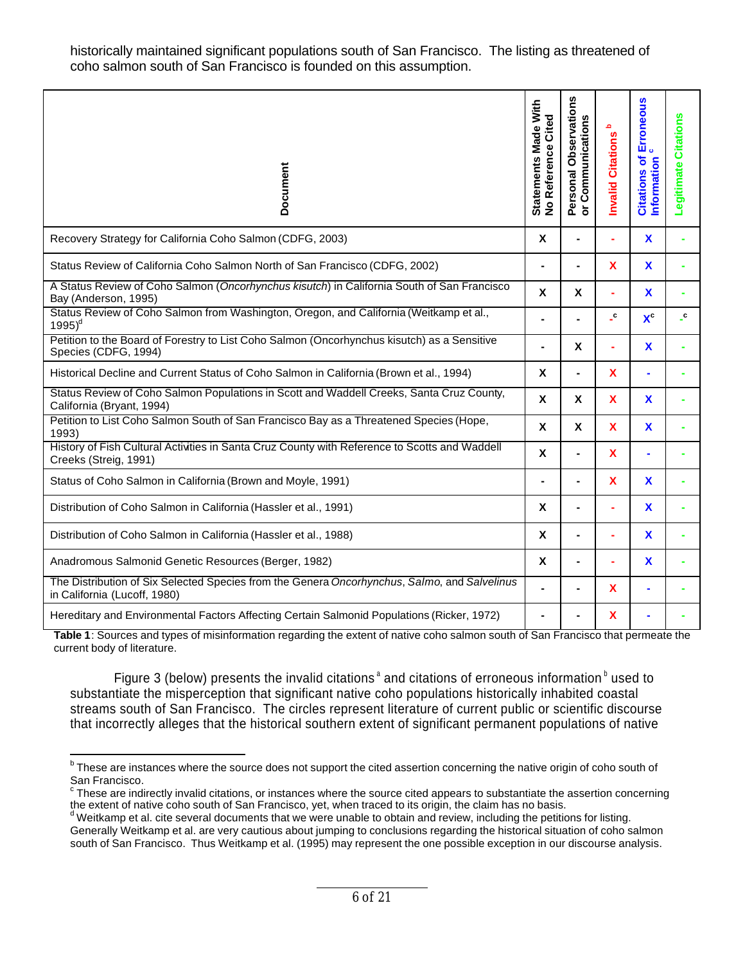historically maintained significant populations south of San Francisco. The listing as threatened of coho salmon south of San Francisco is founded on this assumption.

| Document                                                                                                                     | Statements Made With<br>Cited<br>No Reference | n<br>Observation<br>S,<br>Communication<br>Personal (<br>or Commu | م<br><b>Citations</b><br>Invalid | Erroneous<br>ð<br>Information<br><b>Citations</b> | <b>Citations</b><br>Legitimate |
|------------------------------------------------------------------------------------------------------------------------------|-----------------------------------------------|-------------------------------------------------------------------|----------------------------------|---------------------------------------------------|--------------------------------|
| Recovery Strategy for California Coho Salmon (CDFG, 2003)                                                                    | $\mathbf x$                                   |                                                                   |                                  | $\mathbf x$                                       |                                |
| Status Review of California Coho Salmon North of San Francisco (CDFG, 2002)                                                  |                                               |                                                                   | $\mathbf x$                      | $\mathbf x$                                       |                                |
| A Status Review of Coho Salmon (Oncorhynchus kisutch) in California South of San Francisco<br>Bay (Anderson, 1995)           |                                               | X                                                                 |                                  | $\mathbf x$                                       |                                |
| Status Review of Coho Salmon from Washington, Oregon, and California (Weitkamp et al.,<br>$1995)^d$                          |                                               |                                                                   | $\cdot$                          | $\mathbf{X}^{\mathbf{c}}$                         | $\mathbf{c}$                   |
| Petition to the Board of Forestry to List Coho Salmon (Oncorhynchus kisutch) as a Sensitive<br>Species (CDFG, 1994)          |                                               | X                                                                 |                                  | X                                                 |                                |
| Historical Decline and Current Status of Coho Salmon in California (Brown et al., 1994)                                      | X                                             |                                                                   | X                                |                                                   |                                |
| Status Review of Coho Salmon Populations in Scott and Waddell Creeks, Santa Cruz County,<br>California (Bryant, 1994)        |                                               | <b>X</b>                                                          | <b>X</b>                         | X                                                 |                                |
| Petition to List Coho Salmon South of San Francisco Bay as a Threatened Species (Hope,<br>1993)                              | $\mathbf{x}$                                  | X                                                                 | <b>X</b>                         | X                                                 |                                |
| History of Fish Cultural Activities in Santa Cruz County with Reference to Scotts and Waddell<br>Creeks (Streig, 1991)       |                                               |                                                                   | X                                |                                                   |                                |
| Status of Coho Salmon in California (Brown and Moyle, 1991)                                                                  |                                               |                                                                   | X                                | $\mathbf{x}$                                      |                                |
| Distribution of Coho Salmon in California (Hassler et al., 1991)                                                             |                                               |                                                                   |                                  | <b>X</b>                                          |                                |
| Distribution of Coho Salmon in California (Hassler et al., 1988)                                                             |                                               |                                                                   |                                  | <b>X</b>                                          |                                |
| Anadromous Salmonid Genetic Resources (Berger, 1982)                                                                         |                                               |                                                                   |                                  | $\mathbf{x}$                                      |                                |
| The Distribution of Six Selected Species from the Genera Oncorhynchus, Salmo, and Salvelinus<br>in California (Lucoff, 1980) |                                               |                                                                   | X                                |                                                   |                                |
| Hereditary and Environmental Factors Affecting Certain Salmonid Populations (Ricker, 1972)                                   |                                               |                                                                   | X                                |                                                   |                                |

**Table 1**: Sources and types of misinformation regarding the extent of native coho salmon south of San Francisco that permeate the current body of literature.

Figure 3 (below) presents the invalid citations<sup>a</sup> and citations of erroneous information<sup>b</sup> used to substantiate the misperception that significant native coho populations historically inhabited coastal streams south of San Francisco. The circles represent literature of current public or scientific discourse that incorrectly alleges that the historical southern extent of significant permanent populations of native

<sup>&</sup>lt;u>beso are instances where the source does not support the cited assertion concerning the native origin of coho south of the These are instances where the source does not support the cited assertion concerning the native or</u> San Francisco.

 $\textdegree$  These are indirectly invalid citations, or instances where the source cited appears to substantiate the assertion concerning the extent of native coho south of San Francisco, yet, when traced to its origin, the claim has no basis.

<sup>&</sup>lt;sup>d</sup> Weitkamp et al. cite several documents that we were unable to obtain and review, including the petitions for listing. Generally Weitkamp et al. are very cautious about jumping to conclusions regarding the historical situation of coho salmon south of San Francisco. Thus Weitkamp et al. (1995) may represent the one possible exception in our discourse analysis.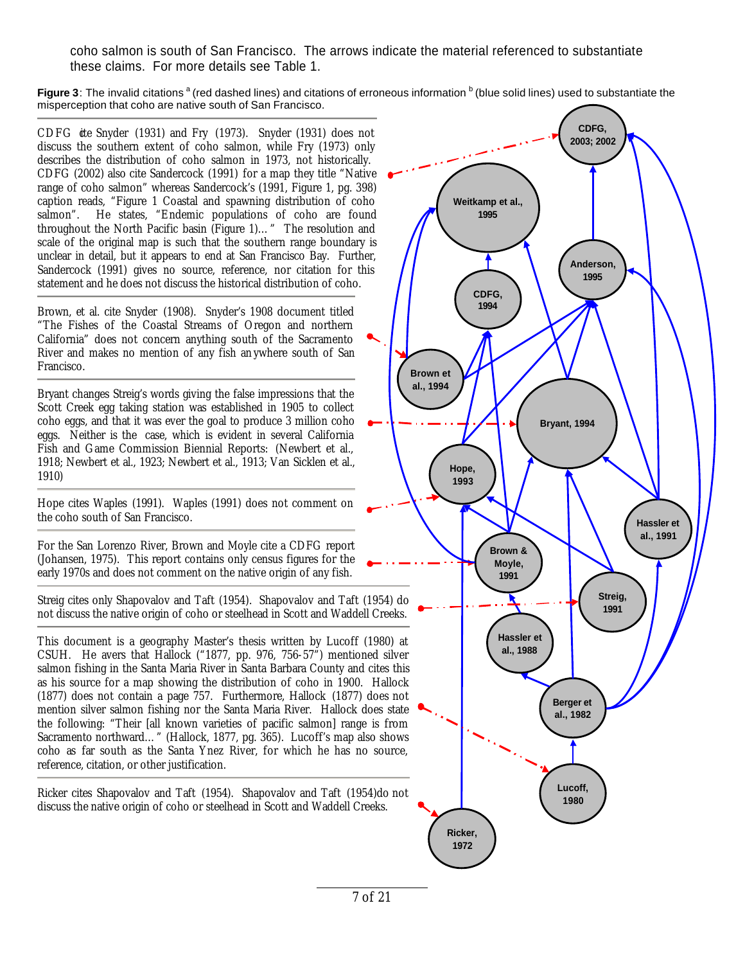coho salmon is south of San Francisco. The arrows indicate the material referenced to substantiate these claims. For more details see Table 1.

Figure 3: The invalid citations <sup>a</sup> (red dashed lines) and citations of erroneous information <sup>b</sup> (blue solid lines) used to substantiate the misperception that coho are native south of San Francisco.

CDFG ite Snyder (1931) and Fry (1973). Snyder (1931) does not discuss the southern extent of coho salmon, while Fry (1973) only describes the distribution of coho salmon in 1973, not historically. CDFG (2002) also cite Sandercock (1991) for a map they title "Native range of coho salmon" whereas Sandercock's (1991, Figure 1, pg. 398) caption reads, "Figure 1 Coastal and spawning distribution of coho salmon". He states, "Endemic populations of coho are found throughout the North Pacific basin  $\overrightarrow{F_1}$  (Figure 1)..." The resolution and scale of the original map is such that the southern range boundary is unclear in detail, but it appears to end at San Francisco Bay. Further, Sandercock (1991) gives no source, reference, nor citation for this statement and he does not discuss the historical distribution of coho.

Brown, et al. cite Snyder (1908). Snyder's 1908 document titled "The Fishes of the Coastal Streams of Oregon and northern California" does not concern anything south of the Sacramento River and makes no mention of any fish an ywhere south of San Francisco.

Bryant changes Streig's words giving the false impressions that the Scott Creek egg taking station was established in 1905 to collect coho eggs, and that it was ever the goal to produce 3 million coho eggs. Neither is the case, which is evident in several California Fish and Game Commission Biennial Reports: (Newbert et al., 1918; Newbert et al., 1923; Newbert et al., 1913; Van Sicklen et al., 1910)

Hope cites Waples (1991). Waples (1991) does not comment on the coho south of San Francisco.

For the San Lorenzo River, Brown and Moyle cite a CDFG report (Johansen, 1975). This report contains only census figures for the early 1970s and does not comment on the native origin of any fish.

Streig cites only Shapovalov and Taft (1954). Shapovalov and Taft (1954) do not discuss the native origin of coho or steelhead in Scott and Waddell Creeks.

This document is a geography Master's thesis written by Lucoff (1980) at CSUH. He avers that Hallock ("1877, pp. 976, 756-57") mentioned silver salmon fishing in the Santa Maria River in Santa Barbara County and cites this as his source for a map showing the distribution of coho in 1900. Hallock (1877) does not contain a page 757. Furthermore, Hallock (1877) does not mention silver salmon fishing nor the Santa Maria River. Hallock does state the following: "Their [all known varieties of pacific salmon] range is from Sacramento northward…" (Hallock, 1877, pg. 365). Lucoff's map also shows coho as far south as the Santa Ynez River, for which he has no source, reference, citation, or other justification.

Ricker cites Shapovalov and Taft (1954). Shapovalov and Taft (1954)do not discuss the native origin of coho or steelhead in Scott and Waddell Creeks.

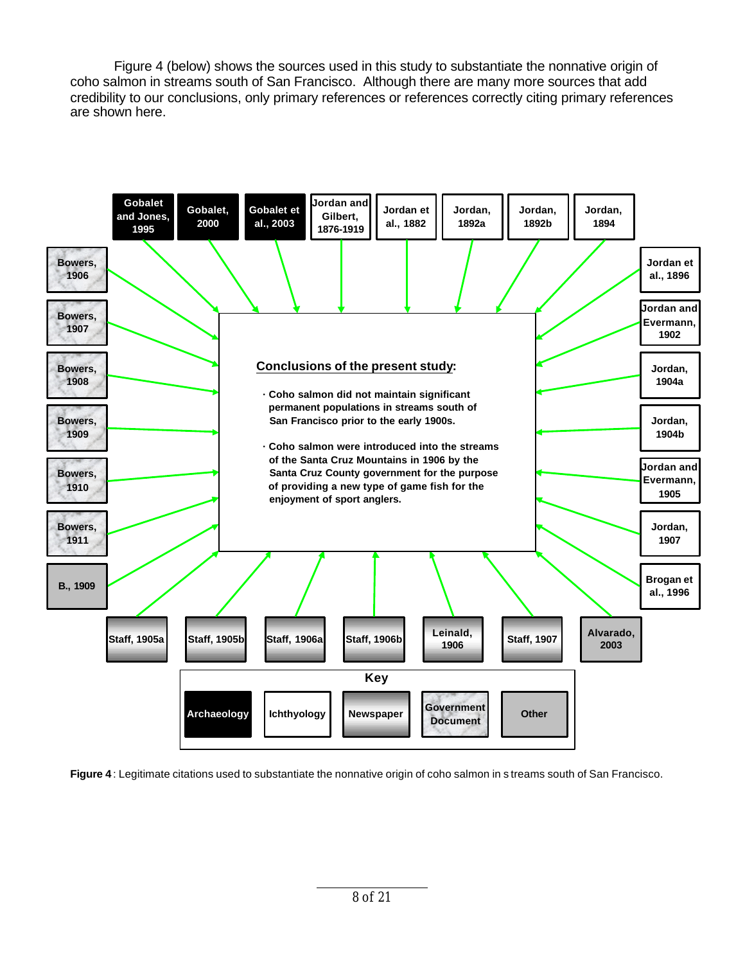Figure 4 (below) shows the sources used in this study to substantiate the nonnative origin of coho salmon in streams south of San Francisco. Although there are many more sources that add credibility to our conclusions, only primary references or references correctly citing primary references are shown here.



**Figure 4** : Legitimate citations used to substantiate the nonnative origin of coho salmon in s treams south of San Francisco.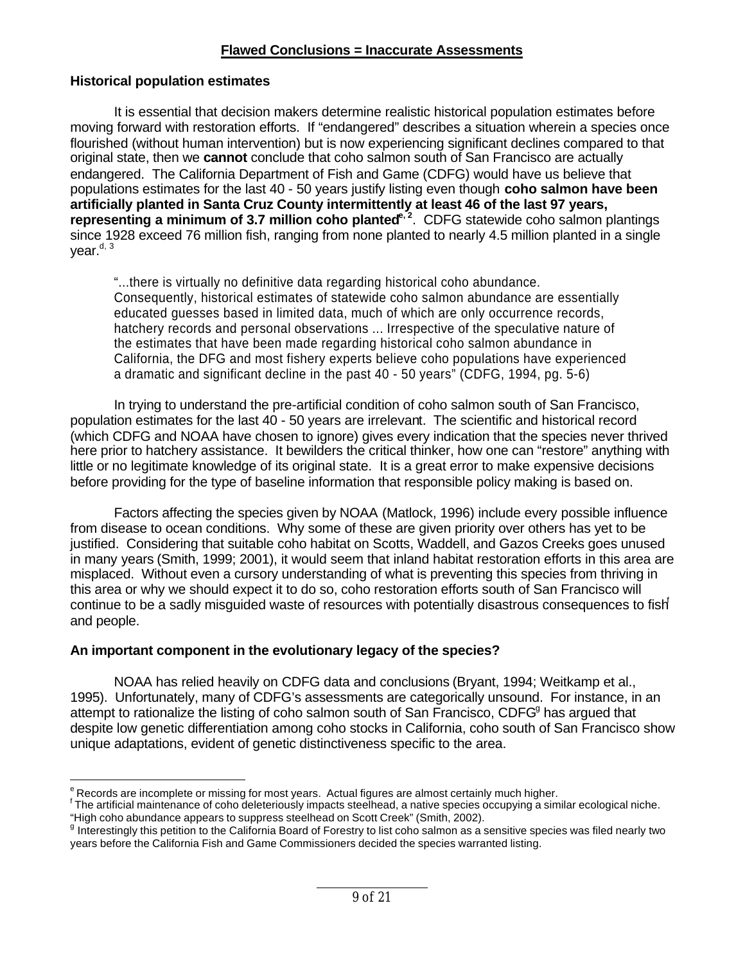#### **Flawed Conclusions = Inaccurate Assessments**

#### **Historical population estimates**

 $\ddot{\phantom{a}}$ 

It is essential that decision makers determine realistic historical population estimates before moving forward with restoration efforts. If "endangered" describes a situation wherein a species once flourished (without human intervention) but is now experiencing significant declines compared to that original state, then we **cannot** conclude that coho salmon south of San Francisco are actually endangered. The California Department of Fish and Game (CDFG) would have us believe that populations estimates for the last 40 - 50 years justify listing even though **coho salmon have been artificially planted in Santa Cruz County intermittently at least 46 of the last 97 years, representing a minimum of 3.7 million coho planted<sup>e, 2</sup>. CDFG statewide coho salmon plantings** since 1928 exceed 76 million fish, ranging from none planted to nearly 4.5 million planted in a single vear. $d, 3$ 

"...there is virtually no definitive data regarding historical coho abundance. Consequently, historical estimates of statewide coho salmon abundance are essentially educated guesses based in limited data, much of which are only occurrence records, hatchery records and personal observations ... Irrespective of the speculative nature of the estimates that have been made regarding historical coho salmon abundance in California, the DFG and most fishery experts believe coho populations have experienced a dramatic and significant decline in the past 40 - 50 years" (CDFG, 1994, pg. 5-6)

In trying to understand the pre-artificial condition of coho salmon south of San Francisco, population estimates for the last 40 - 50 years are irrelevant. The scientific and historical record (which CDFG and NOAA have chosen to ignore) gives every indication that the species never thrived here prior to hatchery assistance. It bewilders the critical thinker, how one can "restore" anything with little or no legitimate knowledge of its original state. It is a great error to make expensive decisions before providing for the type of baseline information that responsible policy making is based on.

Factors affecting the species given by NOAA (Matlock, 1996) include every possible influence from disease to ocean conditions. Why some of these are given priority over others has yet to be justified. Considering that suitable coho habitat on Scotts, Waddell, and Gazos Creeks goes unused in many years (Smith, 1999; 2001), it would seem that inland habitat restoration efforts in this area are misplaced. Without even a cursory understanding of what is preventing this species from thriving in this area or why we should expect it to do so, coho restoration efforts south of San Francisco will continue to be a sadly misguided waste of resources with potentially disastrous consequences to fish<sup>f</sup> and people.

#### **An important component in the evolutionary legacy of the species?**

NOAA has relied heavily on CDFG data and conclusions (Bryant, 1994; Weitkamp et al., 1995). Unfortunately, many of CDFG's assessments are categorically unsound. For instance, in an attempt to rationalize the listing of coho salmon south of San Francisco, CDFG<sup>g</sup> has argued that despite low genetic differentiation among coho stocks in California, coho south of San Francisco show unique adaptations, evident of genetic distinctiveness specific to the area.

<sup>&</sup>lt;sup>e</sup> Records are incomplete or missing for most years. Actual figures are almost certainly much higher.

<sup>&</sup>lt;sup>f</sup> The artificial maintenance of coho deleteriously impacts steelhead, a native species occupying a similar ecological niche. "High coho abundance appears to suppress steelhead on Scott Creek" (Smith, 2002).

<sup>&</sup>lt;sup>g</sup> Interestingly this petition to the California Board of Forestry to list coho salmon as a sensitive species was filed nearly two years before the California Fish and Game Commissioners decided the species warranted listing.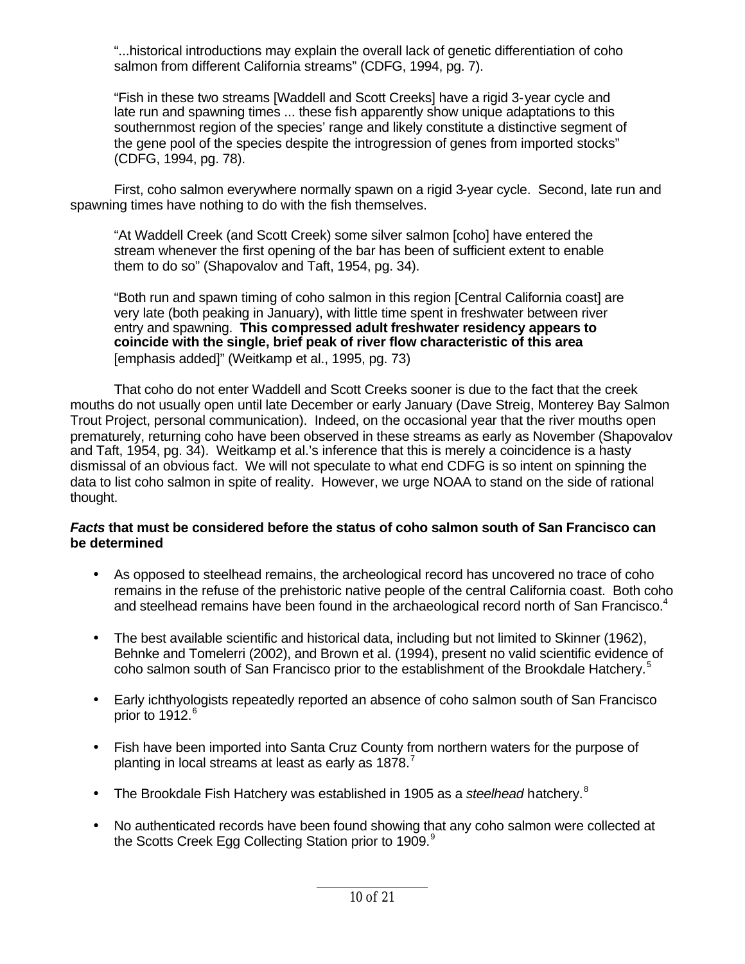"...historical introductions may explain the overall lack of genetic differentiation of coho salmon from different California streams" (CDFG, 1994, pg. 7).

"Fish in these two streams [Waddell and Scott Creeks] have a rigid 3-year cycle and late run and spawning times ... these fish apparently show unique adaptations to this southernmost region of the species' range and likely constitute a distinctive segment of the gene pool of the species despite the introgression of genes from imported stocks" (CDFG, 1994, pg. 78).

First, coho salmon everywhere normally spawn on a rigid 3-year cycle. Second, late run and spawning times have nothing to do with the fish themselves.

"At Waddell Creek (and Scott Creek) some silver salmon [coho] have entered the stream whenever the first opening of the bar has been of sufficient extent to enable them to do so" (Shapovalov and Taft, 1954, pg. 34).

"Both run and spawn timing of coho salmon in this region [Central California coast] are very late (both peaking in January), with little time spent in freshwater between river entry and spawning. **This compressed adult freshwater residency appears to coincide with the single, brief peak of river flow characteristic of this area** [emphasis added]" (Weitkamp et al., 1995, pg. 73)

That coho do not enter Waddell and Scott Creeks sooner is due to the fact that the creek mouths do not usually open until late December or early January (Dave Streig, Monterey Bay Salmon Trout Project, personal communication). Indeed, on the occasional year that the river mouths open prematurely, returning coho have been observed in these streams as early as November (Shapovalov and Taft, 1954, pg. 34). Weitkamp et al.'s inference that this is merely a coincidence is a hasty dismissal of an obvious fact. We will not speculate to what end CDFG is so intent on spinning the data to list coho salmon in spite of reality. However, we urge NOAA to stand on the side of rational thought.

#### *Facts* **that must be considered before the status of coho salmon south of San Francisco can be determined**

- As opposed to steelhead remains, the archeological record has uncovered no trace of coho remains in the refuse of the prehistoric native people of the central California coast. Both coho and steelhead remains have been found in the archaeological record north of San Francisco.<sup>4</sup>
- The best available scientific and historical data, including but not limited to Skinner (1962), Behnke and Tomelerri (2002), and Brown et al. (1994), present no valid scientific evidence of coho salmon south of San Francisco prior to the establishment of the Brookdale Hatchery.<sup>5</sup>
- Early ichthyologists repeatedly reported an absence of coho salmon south of San Francisco prior to  $1912.<sup>6</sup>$
- Fish have been imported into Santa Cruz County from northern waters for the purpose of planting in local streams at least as early as 1878.<sup>7</sup>
- The Brookdale Fish Hatchery was established in 1905 as a *steelhead* hatchery.<sup>8</sup>
- No authenticated records have been found showing that any coho salmon were collected at the Scotts Creek Egg Collecting Station prior to 1909.<sup>9</sup>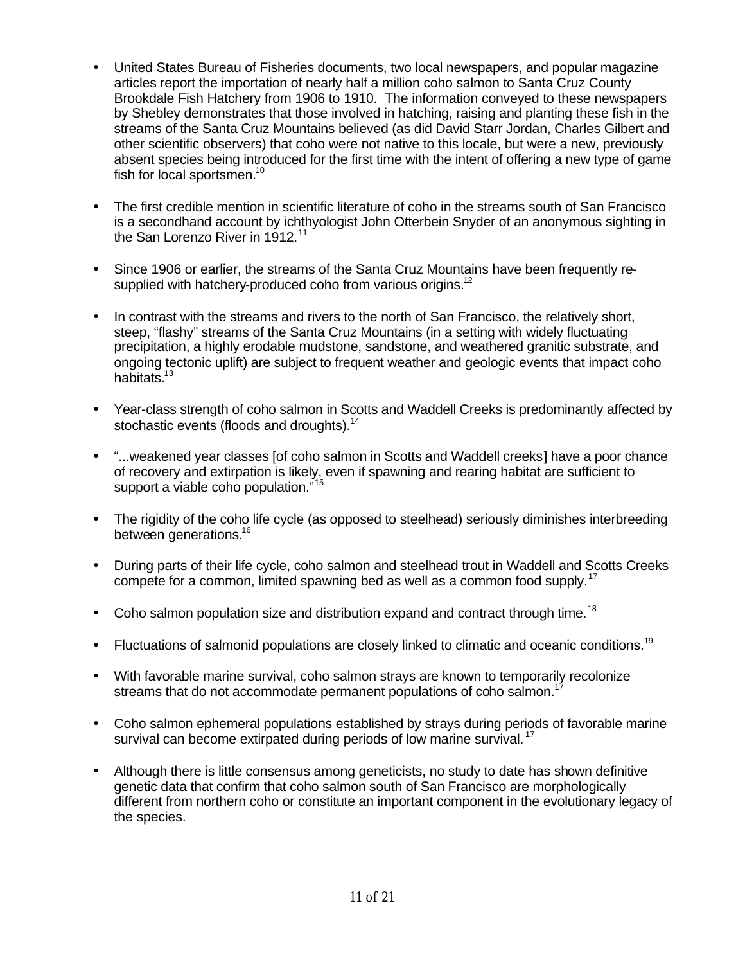- United States Bureau of Fisheries documents, two local newspapers, and popular magazine articles report the importation of nearly half a million coho salmon to Santa Cruz County Brookdale Fish Hatchery from 1906 to 1910. The information conveyed to these newspapers by Shebley demonstrates that those involved in hatching, raising and planting these fish in the streams of the Santa Cruz Mountains believed (as did David Starr Jordan, Charles Gilbert and other scientific observers) that coho were not native to this locale, but were a new, previously absent species being introduced for the first time with the intent of offering a new type of game fish for local sportsmen.<sup>10</sup>
- The first credible mention in scientific literature of coho in the streams south of San Francisco is a secondhand account by ichthyologist John Otterbein Snyder of an anonymous sighting in the San Lorenzo River in 1912.<sup>11</sup>
- Since 1906 or earlier, the streams of the Santa Cruz Mountains have been frequently resupplied with hatchery-produced coho from various origins.<sup>12</sup>
- In contrast with the streams and rivers to the north of San Francisco, the relatively short, steep, "flashy" streams of the Santa Cruz Mountains (in a setting with widely fluctuating precipitation, a highly erodable mudstone, sandstone, and weathered granitic substrate, and ongoing tectonic uplift) are subject to frequent weather and geologic events that impact coho habitats.<sup>13</sup>
- Year-class strength of coho salmon in Scotts and Waddell Creeks is predominantly affected by stochastic events (floods and droughts).<sup>14</sup>
- "...weakened year classes [of coho salmon in Scotts and Waddell creeks] have a poor chance of recovery and extirpation is likely, even if spawning and rearing habitat are sufficient to support a viable coho population."<sup>15</sup>
- The rigidity of the coho life cycle (as opposed to steelhead) seriously diminishes interbreeding between generations.<sup>16</sup>
- During parts of their life cycle, coho salmon and steelhead trout in Waddell and Scotts Creeks compete for a common, limited spawning bed as well as a common food supply.<sup>17</sup>
- Coho salmon population size and distribution expand and contract through time.<sup>18</sup>
- Fluctuations of salmonid populations are closely linked to climatic and oceanic conditions.<sup>19</sup>
- With favorable marine survival, coho salmon strays are known to temporarily recolonize streams that do not accommodate permanent populations of coho salmon.<sup>17</sup>
- Coho salmon ephemeral populations established by strays during periods of favorable marine survival can become extirpated during periods of low marine survival.<sup>17</sup>
- Although there is little consensus among geneticists, no study to date has shown definitive genetic data that confirm that coho salmon south of San Francisco are morphologically different from northern coho or constitute an important component in the evolutionary legacy of the species.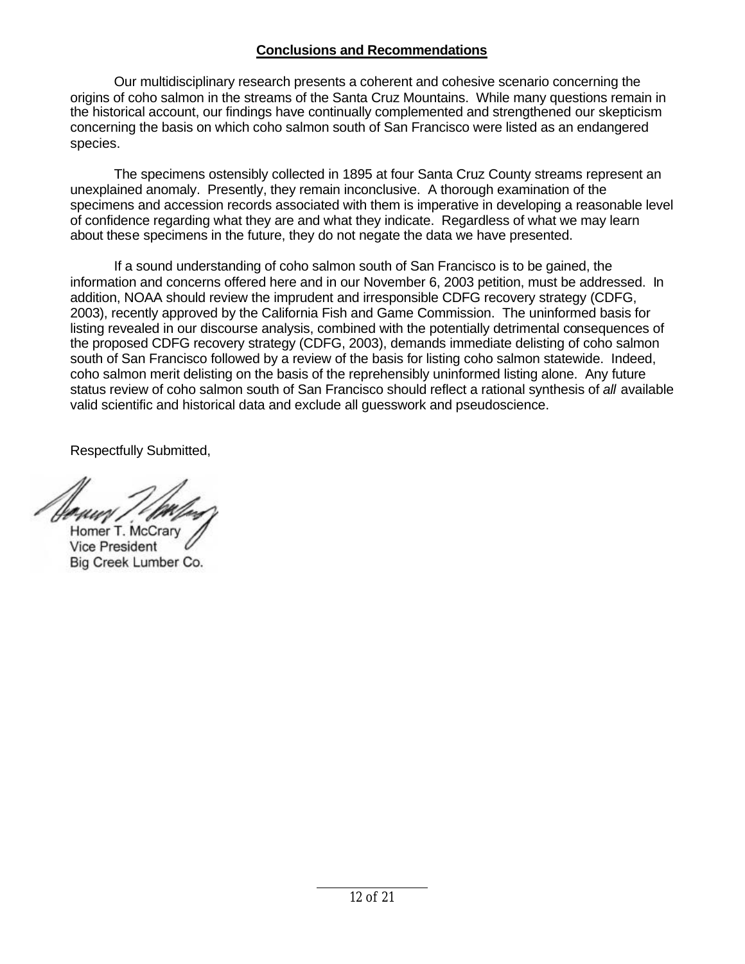## **Conclusions and Recommendations**

Our multidisciplinary research presents a coherent and cohesive scenario concerning the origins of coho salmon in the streams of the Santa Cruz Mountains. While many questions remain in the historical account, our findings have continually complemented and strengthened our skepticism concerning the basis on which coho salmon south of San Francisco were listed as an endangered species.

The specimens ostensibly collected in 1895 at four Santa Cruz County streams represent an unexplained anomaly. Presently, they remain inconclusive. A thorough examination of the specimens and accession records associated with them is imperative in developing a reasonable level of confidence regarding what they are and what they indicate. Regardless of what we may learn about these specimens in the future, they do not negate the data we have presented.

If a sound understanding of coho salmon south of San Francisco is to be gained, the information and concerns offered here and in our November 6, 2003 petition, must be addressed. In addition, NOAA should review the imprudent and irresponsible CDFG recovery strategy (CDFG, 2003), recently approved by the California Fish and Game Commission. The uninformed basis for listing revealed in our discourse analysis, combined with the potentially detrimental consequences of the proposed CDFG recovery strategy (CDFG, 2003), demands immediate delisting of coho salmon south of San Francisco followed by a review of the basis for listing coho salmon statewide. Indeed, coho salmon merit delisting on the basis of the reprehensibly uninformed listing alone. Any future status review of coho salmon south of San Francisco should reflect a rational synthesis of *all* available valid scientific and historical data and exclude all guesswork and pseudoscience.

Respectfully Submitted,

Homer T. McCrary **Vice President** Big Creek Lumber Co.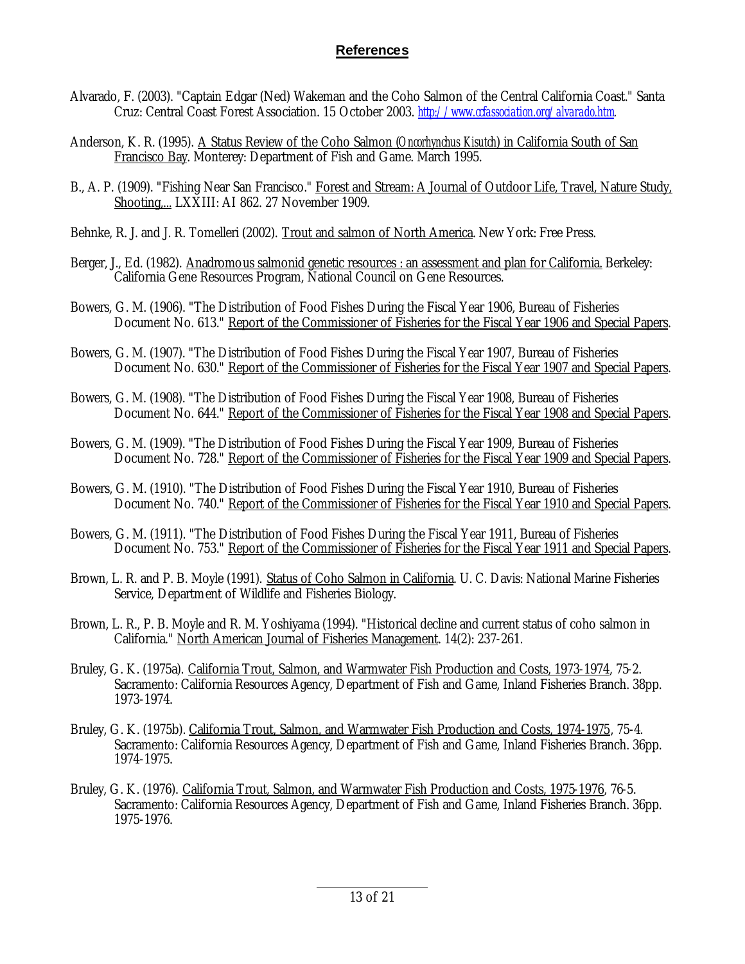## **References**

- Alvarado, F. (2003). "Captain Edgar (Ned) Wakeman and the Coho Salmon of the Central California Coast." Santa Cruz: Central Coast Forest Association. 15 October 2003. *http://www.ccfassociation.org/alvarado.htm.*
- Anderson, K. R. (1995). A Status Review of the Coho Salmon (*Oncorhynchus Kisutch*) in California South of San Francisco Bay. Monterey: Department of Fish and Game. March 1995.
- B., A. P. (1909). "Fishing Near San Francisco." Forest and Stream: A Journal of Outdoor Life, Travel, Nature Study, Shooting,... LXXIII: AI 862. 27 November 1909.
- Behnke, R. J. and J. R. Tomelleri (2002). Trout and salmon of North America. New York: Free Press.
- Berger, J., Ed. (1982). Anadromous salmonid genetic resources : an assessment and plan for California. Berkeley: California Gene Resources Program, National Council on Gene Resources.
- Bowers, G. M. (1906). "The Distribution of Food Fishes During the Fiscal Year 1906, Bureau of Fisheries Document No. 613." Report of the Commissioner of Fisheries for the Fiscal Year 1906 and Special Papers.
- Bowers, G. M. (1907). "The Distribution of Food Fishes During the Fiscal Year 1907, Bureau of Fisheries Document No. 630." Report of the Commissioner of Fisheries for the Fiscal Year 1907 and Special Papers.
- Bowers, G. M. (1908). "The Distribution of Food Fishes During the Fiscal Year 1908, Bureau of Fisheries Document No. 644." Report of the Commissioner of Fisheries for the Fiscal Year 1908 and Special Papers.
- Bowers, G. M. (1909). "The Distribution of Food Fishes During the Fiscal Year 1909, Bureau of Fisheries Document No. 728." Report of the Commissioner of Fisheries for the Fiscal Year 1909 and Special Papers.
- Bowers, G. M. (1910). "The Distribution of Food Fishes During the Fiscal Year 1910, Bureau of Fisheries Document No. 740." Report of the Commissioner of Fisheries for the Fiscal Year 1910 and Special Papers.
- Bowers, G. M. (1911). "The Distribution of Food Fishes During the Fiscal Year 1911, Bureau of Fisheries Document No. 753." Report of the Commissioner of Fisheries for the Fiscal Year 1911 and Special Papers.
- Brown, L. R. and P. B. Moyle (1991). Status of Coho Salmon in California. U. C. Davis: National Marine Fisheries Service, Department of Wildlife and Fisheries Biology.
- Brown, L. R., P. B. Moyle and R. M. Yoshiyama (1994). "Historical decline and current status of coho salmon in California." North American Journal of Fisheries Management. 14(2): 237-261.
- Bruley, G. K. (1975a). California Trout, Salmon, and Warmwater Fish Production and Costs, 1973-1974, 75-2. Sacramento: California Resources Agency, Department of Fish and Game, Inland Fisheries Branch. 38pp. 1973-1974.
- Bruley, G. K. (1975b). California Trout, Salmon, and Warmwater Fish Production and Costs, 1974-1975, 75-4. Sacramento: California Resources Agency, Department of Fish and Game, Inland Fisheries Branch. 36pp. 1974-1975.
- Bruley, G. K. (1976). California Trout, Salmon, and Warmwater Fish Production and Costs, 1975-1976, 76-5. Sacramento: California Resources Agency, Department of Fish and Game, Inland Fisheries Branch. 36pp. 1975-1976.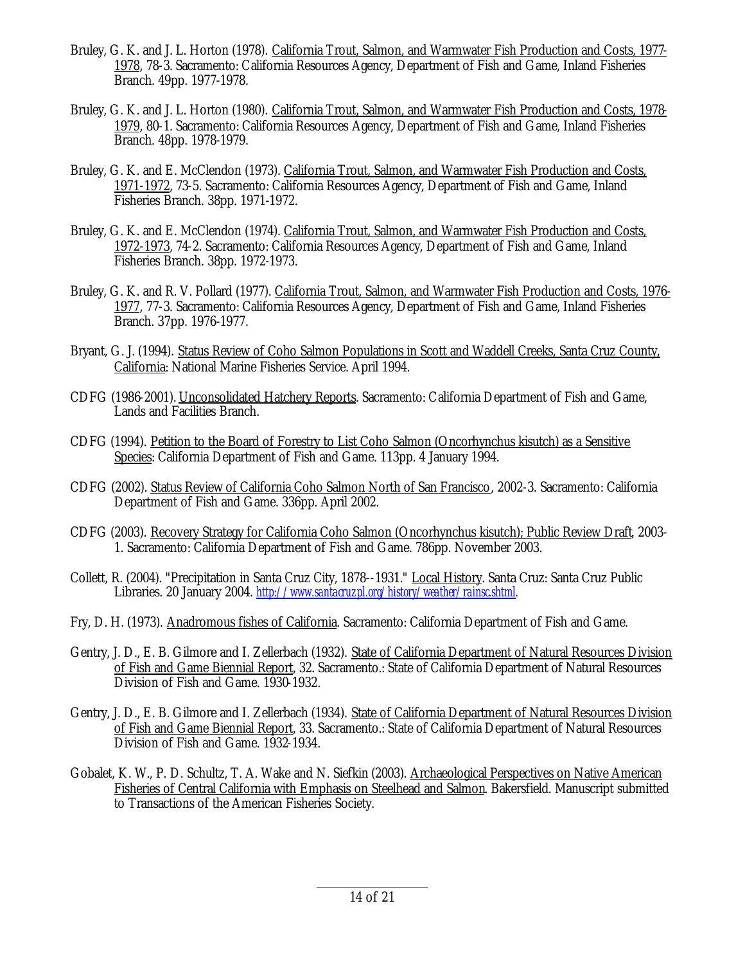- Bruley, G. K. and J. L. Horton (1978). California Trout, Salmon, and Warmwater Fish Production and Costs, 1977- 1978, 78-3. Sacramento: California Resources Agency, Department of Fish and Game, Inland Fisheries Branch. 49pp. 1977-1978.
- Bruley, G. K. and J. L. Horton (1980). California Trout, Salmon, and Warmwater Fish Production and Costs, 1978- 1979, 80-1. Sacramento: California Resources Agency, Department of Fish and Game, Inland Fisheries Branch. 48pp. 1978-1979.
- Bruley, G. K. and E. McClendon (1973). California Trout, Salmon, and Warmwater Fish Production and Costs, 1971-1972, 73-5. Sacramento: California Resources Agency, Department of Fish and Game, Inland Fisheries Branch. 38pp. 1971-1972.
- Bruley, G. K. and E. McClendon (1974). California Trout, Salmon, and Warmwater Fish Production and Costs, 1972-1973, 74-2. Sacramento: California Resources Agency, Department of Fish and Game, Inland Fisheries Branch. 38pp. 1972-1973.
- Bruley, G. K. and R. V. Pollard (1977). California Trout, Salmon, and Warmwater Fish Production and Costs, 1976- 1977, 77-3. Sacramento: California Resources Agency, Department of Fish and Game, Inland Fisheries Branch. 37pp. 1976-1977.
- Bryant, G. J. (1994). Status Review of Coho Salmon Populations in Scott and Waddell Creeks, Santa Cruz County, California: National Marine Fisheries Service. April 1994.
- CDFG (1986-2001). Unconsolidated Hatchery Reports. Sacramento: California Department of Fish and Game, Lands and Facilities Branch.
- CDFG (1994). Petition to the Board of Forestry to List Coho Salmon (Oncorhynchus kisutch) as a Sensitive Species: California Department of Fish and Game. 113pp. 4 January 1994.
- CDFG (2002). Status Review of California Coho Salmon North of San Francisco, 2002-3. Sacramento: California Department of Fish and Game. 336pp. April 2002.
- CDFG (2003). Recovery Strategy for California Coho Salmon (Oncorhynchus kisutch); Public Review Draft, 2003- 1. Sacramento: California Department of Fish and Game. 786pp. November 2003.
- Collett, R. (2004). "Precipitation in Santa Cruz City, 1878--1931." Local History. Santa Cruz: Santa Cruz Public Libraries. 20 January 2004. *http://www.santacruzpl.org/history/weather/rainsc.shtml.*
- Fry, D. H. (1973). Anadromous fishes of California. Sacramento: California Department of Fish and Game.
- Gentry, J. D., E. B. Gilmore and I. Zellerbach (1932). State of California Department of Natural Resources Division of Fish and Game Biennial Report, 32. Sacramento.: State of California Department of Natural Resources Division of Fish and Game. 1930-1932.
- Gentry, J. D., E. B. Gilmore and I. Zellerbach (1934). State of California Department of Natural Resources Division of Fish and Game Biennial Report, 33. Sacramento.: State of California Department of Natural Resources Division of Fish and Game. 1932-1934.
- Gobalet, K. W., P. D. Schultz, T. A. Wake and N. Siefkin (2003). Archaeological Perspectives on Native American Fisheries of Central California with Emphasis on Steelhead and Salmon. Bakersfield. Manuscript submitted to Transactions of the American Fisheries Society.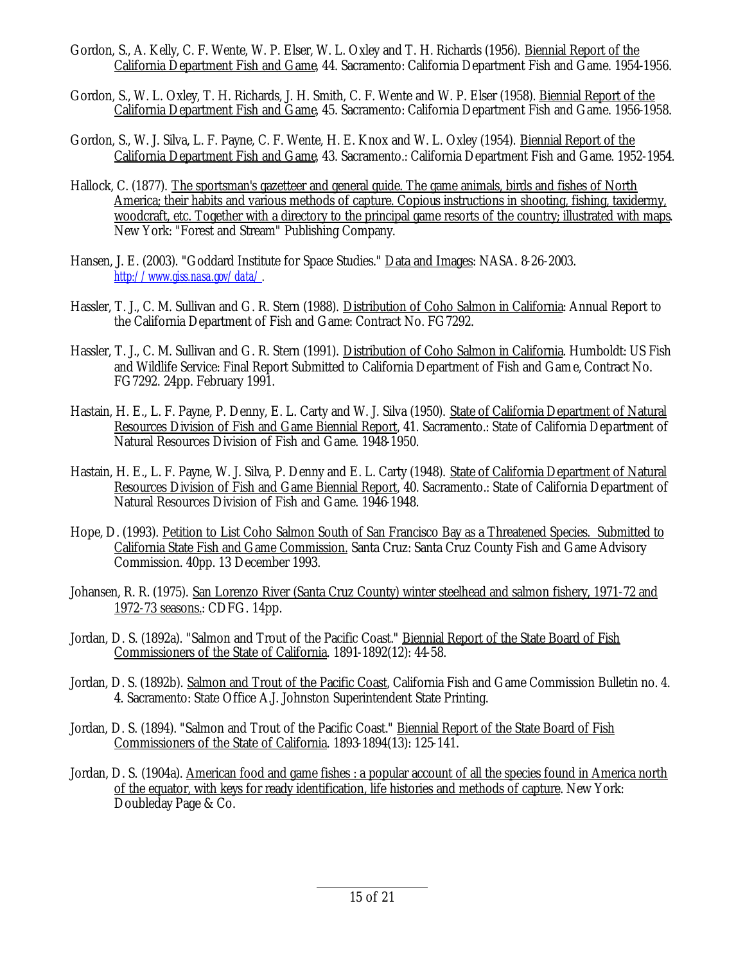- Gordon, S., A. Kelly, C. F. Wente, W. P. Elser, W. L. Oxley and T. H. Richards (1956). Biennial Report of the California Department Fish and Game, 44. Sacramento: California Department Fish and Game. 1954-1956.
- Gordon, S., W. L. Oxley, T. H. Richards, J. H. Smith, C. F. Wente and W. P. Elser (1958). Biennial Report of the California Department Fish and Game, 45. Sacramento: California Department Fish and Game. 1956-1958.
- Gordon, S., W. J. Silva, L. F. Payne, C. F. Wente, H. E. Knox and W. L. Oxley (1954). Biennial Report of the California Department Fish and Game, 43. Sacramento.: California Department Fish and Game. 1952-1954.
- Hallock, C. (1877). The sportsman's gazetteer and general guide. The game animals, birds and fishes of North America; their habits and various methods of capture. Copious instructions in shooting, fishing, taxidermy, woodcraft, etc. Together with a directory to the principal game resorts of the country; illustrated with maps. New York: "Forest and Stream" Publishing Company.
- Hansen, J. E. (2003). "Goddard Institute for Space Studies." Data and Images: NASA. 8-26-2003. *http://www.giss.nasa.gov/data/.*
- Hassler, T. J., C. M. Sullivan and G. R. Stern (1988). Distribution of Coho Salmon in California: Annual Report to the California Department of Fish and Game: Contract No. FG7292.
- Hassler, T. J., C. M. Sullivan and G. R. Stern (1991). Distribution of Coho Salmon in California. Humboldt: US Fish and Wildlife Service: Final Report Submitted to California Department of Fish and Game, Contract No. FG7292. 24pp. February 1991.
- Hastain, H. E., L. F. Payne, P. Denny, E. L. Carty and W. J. Silva (1950). State of California Department of Natural Resources Division of Fish and Game Biennial Report, 41. Sacramento.: State of California Department of Natural Resources Division of Fish and Game. 1948-1950.
- Hastain, H. E., L. F. Payne, W. J. Silva, P. Denny and E. L. Carty (1948). State of California Department of Natural Resources Division of Fish and Game Biennial Report, 40. Sacramento.: State of California Department of Natural Resources Division of Fish and Game. 1946-1948.
- Hope, D. (1993). Petition to List Coho Salmon South of San Francisco Bay as a Threatened Species. Submitted to California State Fish and Game Commission. Santa Cruz: Santa Cruz County Fish and Game Advisory Commission. 40pp. 13 December 1993.
- Johansen, R. R. (1975). San Lorenzo River (Santa Cruz County) winter steelhead and salmon fishery, 1971-72 and 1972-73 seasons.: CDFG. 14pp.
- Jordan, D. S. (1892a). "Salmon and Trout of the Pacific Coast." Biennial Report of the State Board of Fish Commissioners of the State of California. 1891-1892(12): 44-58.
- Jordan, D. S. (1892b). Salmon and Trout of the Pacific Coast, California Fish and Game Commission Bulletin no. 4. 4. Sacramento: State Office A.J. Johnston Superintendent State Printing.
- Jordan, D. S. (1894). "Salmon and Trout of the Pacific Coast." Biennial Report of the State Board of Fish Commissioners of the State of California. 1893-1894(13): 125-141.
- Jordan, D. S. (1904a). American food and game fishes : a popular account of all the species found in America north of the equator, with keys for ready identification, life histories and methods of capture. New York: Doubleday Page & Co.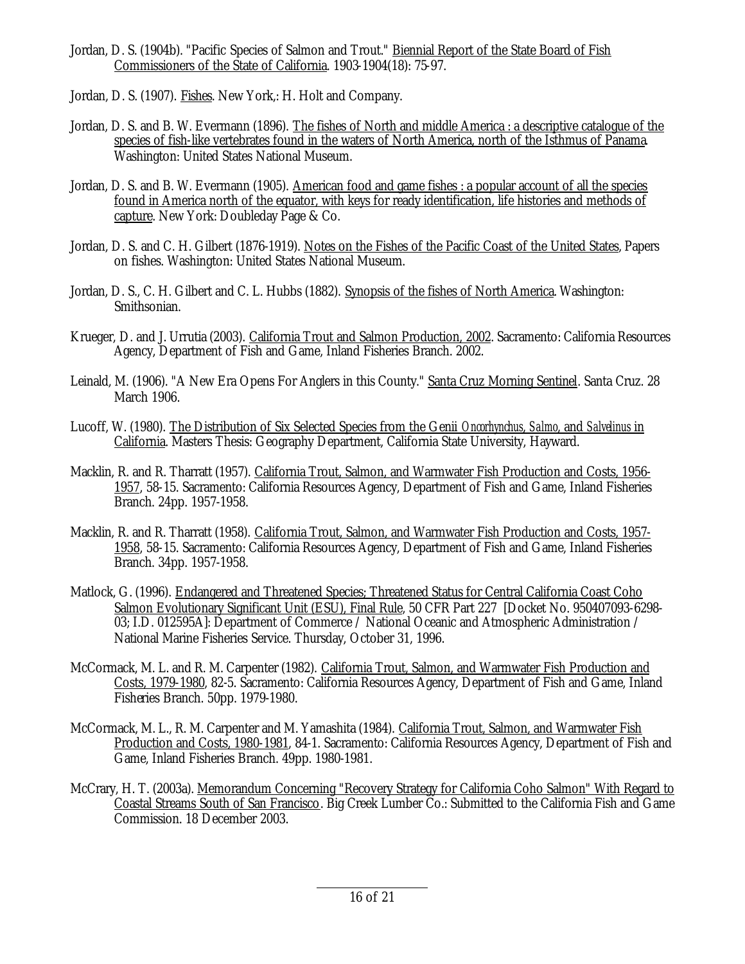- Jordan, D. S. (1904b). "Pacific Species of Salmon and Trout." Biennial Report of the State Board of Fish Commissioners of the State of California. 1903-1904(18): 75-97.
- Jordan, D. S. (1907). Fishes. New York,: H. Holt and Company.
- Jordan, D. S. and B. W. Evermann (1896). The fishes of North and middle America : a descriptive catalogue of the species of fish-like vertebrates found in the waters of North America, north of the Isthmus of Panama. Washington: United States National Museum.
- Jordan, D. S. and B. W. Evermann (1905). American food and game fishes : a popular account of all the species found in America north of the equator, with keys for ready identification, life histories and methods of capture. New York: Doubleday Page & Co.
- Jordan, D. S. and C. H. Gilbert (1876-1919). Notes on the Fishes of the Pacific Coast of the United States, Papers on fishes. Washington: United States National Museum.
- Jordan, D. S., C. H. Gilbert and C. L. Hubbs (1882). Synopsis of the fishes of North America. Washington: Smithsonian.
- Krueger, D. and J. Urrutia (2003). California Trout and Salmon Production, 2002. Sacramento: California Resources Agency, Department of Fish and Game, Inland Fisheries Branch. 2002.
- Leinald, M. (1906). "A New Era Opens For Anglers in this County." Santa Cruz Morning Sentinel. Santa Cruz. 28 March 1906.
- Lucoff, W. (1980). The Distribution of Six Selected Species from the Genii *Oncorhynchus*, *Salmo*, and *Salvelinus* in California. Masters Thesis: Geography Department, California State University, Hayward.
- Macklin, R. and R. Tharratt (1957). California Trout, Salmon, and Warmwater Fish Production and Costs, 1956- 1957, 58-15. Sacramento: California Resources Agency, Department of Fish and Game, Inland Fisheries Branch. 24pp. 1957-1958.
- Macklin, R. and R. Tharratt (1958). California Trout, Salmon, and Warmwater Fish Production and Costs, 1957- 1958, 58-15. Sacramento: California Resources Agency, Department of Fish and Game, Inland Fisheries Branch. 34pp. 1957-1958.
- Matlock, G. (1996). Endangered and Threatened Species; Threatened Status for Central California Coast Coho Salmon Evolutionary Significant Unit (ESU), Final Rule, 50 CFR Part 227 [Docket No. 950407093-6298- 03; I.D. 012595A]: Department of Commerce / National Oceanic and Atmospheric Administration / National Marine Fisheries Service. Thursday, October 31, 1996.
- McCormack, M. L. and R. M. Carpenter (1982). California Trout, Salmon, and Warmwater Fish Production and Costs, 1979-1980, 82-5. Sacramento: California Resources Agency, Department of Fish and Game, Inland Fisheries Branch. 50pp. 1979-1980.
- McCormack, M. L., R. M. Carpenter and M. Yamashita (1984). California Trout, Salmon, and Warmwater Fish Production and Costs, 1980-1981, 84-1. Sacramento: California Resources Agency, Department of Fish and Game, Inland Fisheries Branch. 49pp. 1980-1981.
- McCrary, H. T. (2003a). Memorandum Concerning "Recovery Strategy for California Coho Salmon" With Regard to Coastal Streams South of San Francisco. Big Creek Lumber Co.: Submitted to the California Fish and Game Commission. 18 December 2003.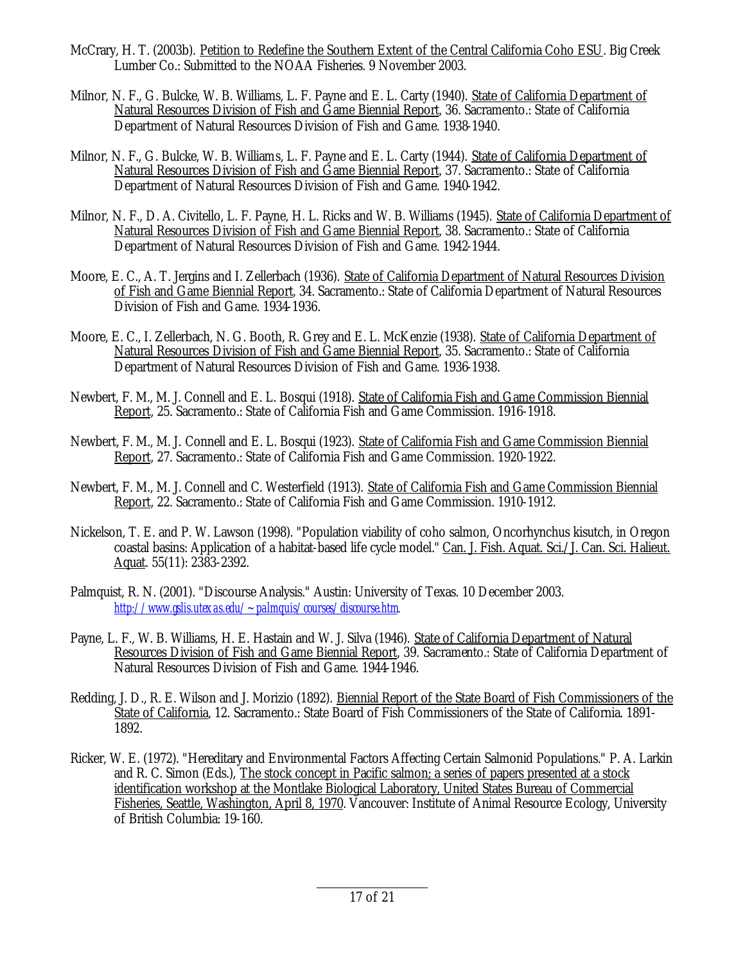- McCrary, H. T. (2003b). Petition to Redefine the Southern Extent of the Central California Coho ESU. Big Creek Lumber Co.: Submitted to the NOAA Fisheries. 9 November 2003.
- Milnor, N. F., G. Bulcke, W. B. Williams, L. F. Payne and E. L. Carty (1940). State of California Department of Natural Resources Division of Fish and Game Biennial Report, 36. Sacramento.: State of California Department of Natural Resources Division of Fish and Game. 1938-1940.
- Milnor, N. F., G. Bulcke, W. B. Williams, L. F. Payne and E. L. Carty (1944). State of California Department of Natural Resources Division of Fish and Game Biennial Report, 37. Sacramento.: State of California Department of Natural Resources Division of Fish and Game. 1940-1942.
- Milnor, N. F., D. A. Civitello, L. F. Payne, H. L. Ricks and W. B. Williams (1945). State of California Department of Natural Resources Division of Fish and Game Biennial Report, 38. Sacramento.: State of California Department of Natural Resources Division of Fish and Game. 1942-1944.
- Moore, E. C., A. T. Jergins and I. Zellerbach (1936). State of California Department of Natural Resources Division of Fish and Game Biennial Report, 34. Sacramento.: State of California Department of Natural Resources Division of Fish and Game. 1934-1936.
- Moore, E. C., I. Zellerbach, N. G. Booth, R. Grey and E. L. McKenzie (1938). State of California Department of Natural Resources Division of Fish and Game Biennial Report, 35. Sacramento.: State of California Department of Natural Resources Division of Fish and Game. 1936-1938.
- Newbert, F. M., M. J. Connell and E. L. Bosqui (1918). State of California Fish and Game Commission Biennial Report, 25. Sacramento.: State of California Fish and Game Commission. 1916-1918.
- Newbert, F. M., M. J. Connell and E. L. Bosqui (1923). State of California Fish and Game Commission Biennial Report, 27. Sacramento.: State of California Fish and Game Commission. 1920-1922.
- Newbert, F. M., M. J. Connell and C. Westerfield (1913). State of California Fish and Game Commission Biennial Report, 22. Sacramento.: State of California Fish and Game Commission. 1910-1912.
- Nickelson, T. E. and P. W. Lawson (1998). "Population viability of coho salmon, Oncorhynchus kisutch, in Oregon coastal basins: Application of a habitat-based life cycle model." Can. J. Fish. Aquat. Sci./J. Can. Sci. Halieut. Aquat.  $55(11)$ :  $2\overline{38}3 - 2392$ .
- Palmquist, R. N. (2001). "Discourse Analysis." Austin: University of Texas. 10 December 2003. *http://www.gslis.utexas.edu/~palmquis/courses/discourse.htm.*
- Payne, L. F., W. B. Williams, H. E. Hastain and W. J. Silva (1946). State of California Department of Natural Resources Division of Fish and Game Biennial Report, 39. Sacramento.: State of California Department of Natural Resources Division of Fish and Game. 1944-1946.
- Redding, J. D., R. E. Wilson and J. Morizio (1892). Biennial Report of the State Board of Fish Commissioners of the State of California, 12. Sacramento.: State Board of Fish Commissioners of the State of California. 1891- 1892.
- Ricker, W. E. (1972). "Hereditary and Environmental Factors Affecting Certain Salmonid Populations." P. A. Larkin and R. C. Simon (Eds.), The stock concept in Pacific salmon; a series of papers presented at a stock identification workshop at the Montlake Biological Laboratory, United States Bureau of Commercial Fisheries, Seattle, Washington, April 8, 1970. Vancouver: Institute of Animal Resource Ecology, University of British Columbia: 19-160.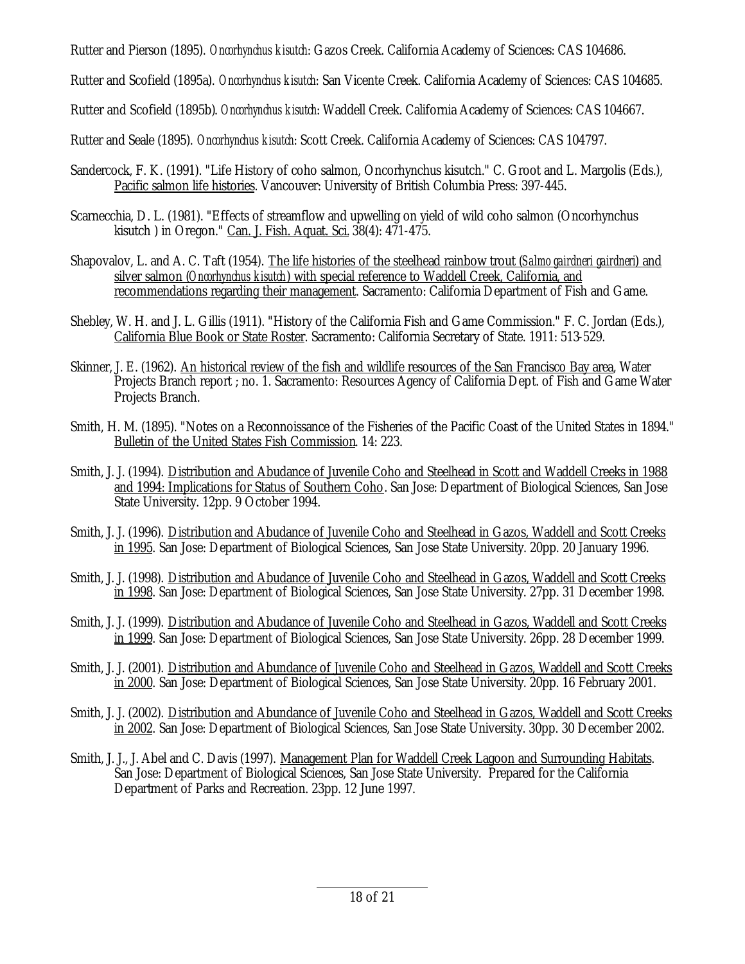Rutter and Pierson (1895). *Oncorhynchus kisutch*: Gazos Creek. California Academy of Sciences: CAS 104686.

Rutter and Scofield (1895a). *Oncorhynchus kisutch*: San Vicente Creek. California Academy of Sciences: CAS 104685.

Rutter and Scofield (1895b). *Oncorhynchus kisutch*: Waddell Creek. California Academy of Sciences: CAS 104667.

Rutter and Seale (1895). *Oncorhynchus kisutch*: Scott Creek. California Academy of Sciences: CAS 104797.

- Sandercock, F. K. (1991). "Life History of coho salmon, Oncorhynchus kisutch." C. Groot and L. Margolis (Eds.), Pacific salmon life histories. Vancouver: University of British Columbia Press: 397-445.
- Scarnecchia, D. L. (1981). "Effects of streamflow and upwelling on yield of wild coho salmon (Oncorhynchus kisutch ) in Oregon." Can. J. Fish. Aquat. Sci. 38(4): 471-475.
- Shapovalov, L. and A. C. Taft (1954). The life histories of the steelhead rainbow trout (*Salmo gairdneri gairdneri*) and silver salmon (*Oncorhynchus kisutch*) with special reference to Waddell Creek, California, and recommendations regarding their management. Sacramento: California Department of Fish and Game.
- Shebley, W. H. and J. L. Gillis (1911). "History of the California Fish and Game Commission." F. C. Jordan (Eds.), California Blue Book or State Roster. Sacramento: California Secretary of State. 1911: 513-529.
- Skinner, J. E. (1962). An historical review of the fish and wildlife resources of the San Francisco Bay area, Water Projects Branch report ; no. 1. Sacramento: Resources Agency of California Dept. of Fish and Game Water Projects Branch.
- Smith, H. M. (1895). "Notes on a Reconnoissance of the Fisheries of the Pacific Coast of the United States in 1894." Bulletin of the United States Fish Commission. 14: 223.
- Smith, J. J. (1994). Distribution and Abudance of Juvenile Coho and Steelhead in Scott and Waddell Creeks in 1988 and 1994: Implications for Status of Southern Coho. San Jose: Department of Biological Sciences, San Jose State University. 12pp. 9 October 1994.
- Smith, J. J. (1996). Distribution and Abudance of Juvenile Coho and Steelhead in Gazos, Waddell and Scott Creeks in 1995. San Jose: Department of Biological Sciences, San Jose State University. 20pp. 20 January 1996.
- Smith, J. J. (1998). Distribution and Abudance of Juvenile Coho and Steelhead in Gazos, Waddell and Scott Creeks in 1998. San Jose: Department of Biological Sciences, San Jose State University. 27pp. 31 December 1998.
- Smith, J. J. (1999). Distribution and Abudance of Juvenile Coho and Steelhead in Gazos, Waddell and Scott Creeks in 1999. San Jose: Department of Biological Sciences, San Jose State University. 26pp. 28 December 1999.
- Smith, J. J. (2001). Distribution and Abundance of Juvenile Coho and Steelhead in Gazos, Waddell and Scott Creeks in 2000. San Jose: Department of Biological Sciences, San Jose State University. 20pp. 16 February 2001.
- Smith, J. J. (2002). Distribution and Abundance of Juvenile Coho and Steelhead in Gazos, Waddell and Scott Creeks in 2002. San Jose: Department of Biological Sciences, San Jose State University. 30pp. 30 December 2002.
- Smith, J. J., J. Abel and C. Davis (1997). Management Plan for Waddell Creek Lagoon and Surrounding Habitats. San Jose: Department of Biological Sciences, San Jose State University. Prepared for the California Department of Parks and Recreation. 23pp. 12 June 1997.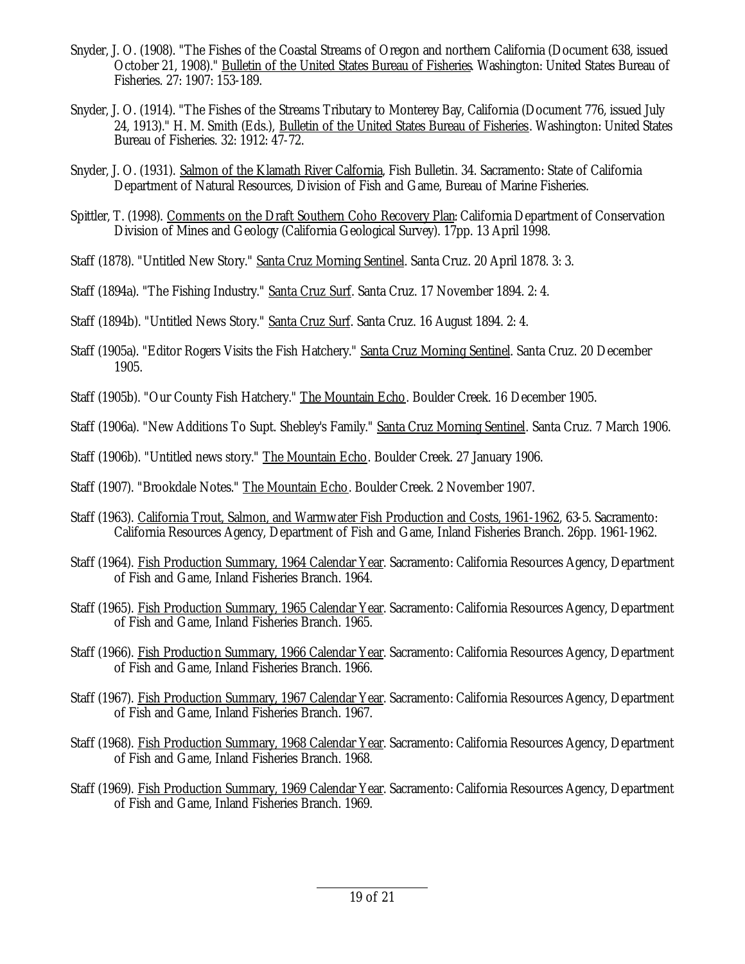- Snyder, J. O. (1908). "The Fishes of the Coastal Streams of Oregon and northern California (Document 638, issued October 21, 1908)." Bulletin of the United States Bureau of Fisheries. Washington: United States Bureau of Fisheries. 27: 1907: 153-189.
- Snyder, J. O. (1914). "The Fishes of the Streams Tributary to Monterey Bay, California (Document 776, issued July 24, 1913)." H. M. Smith (Eds.), Bulletin of the United States Bureau of Fisheries. Washington: United States Bureau of Fisheries. 32: 1912: 47-72.
- Snyder, J. O. (1931). Salmon of the Klamath River Calfornia, Fish Bulletin. 34. Sacramento: State of California Department of Natural Resources, Division of Fish and Game, Bureau of Marine Fisheries.
- Spittler, T. (1998). Comments on the Draft Southern Coho Recovery Plan: California Department of Conservation Division of Mines and Geology (California Geological Survey). 17pp. 13 April 1998.
- Staff (1878). "Untitled New Story." Santa Cruz Morning Sentinel. Santa Cruz. 20 April 1878. 3: 3.
- Staff (1894a). "The Fishing Industry." Santa Cruz Surf. Santa Cruz. 17 November 1894. 2: 4.
- Staff (1894b). "Untitled News Story." Santa Cruz Surf. Santa Cruz. 16 August 1894. 2: 4.
- Staff (1905a). "Editor Rogers Visits the Fish Hatchery." Santa Cruz Morning Sentinel. Santa Cruz. 20 December 1905.
- Staff (1905b). "Our County Fish Hatchery." The Mountain Echo. Boulder Creek. 16 December 1905.
- Staff (1906a). "New Additions To Supt. Shebley's Family." Santa Cruz Morning Sentinel. Santa Cruz. 7 March 1906.
- Staff (1906b). "Untitled news story." The Mountain Echo. Boulder Creek. 27 January 1906.
- Staff (1907). "Brookdale Notes." The Mountain Echo. Boulder Creek. 2 November 1907.
- Staff (1963). California Trout, Salmon, and Warmwater Fish Production and Costs, 1961-1962, 63-5. Sacramento: California Resources Agency, Department of Fish and Game, Inland Fisheries Branch. 26pp. 1961-1962.
- Staff (1964). Fish Production Summary, 1964 Calendar Year. Sacramento: California Resources Agency, Department of Fish and Game, Inland Fisheries Branch. 1964.
- Staff (1965). Fish Production Summary, 1965 Calendar Year. Sacramento: California Resources Agency, Department of Fish and Game, Inland Fisheries Branch. 1965.
- Staff (1966). Fish Production Summary, 1966 Calendar Year. Sacramento: California Resources Agency, Department of Fish and Game, Inland Fisheries Branch. 1966.
- Staff (1967). Fish Production Summary, 1967 Calendar Year. Sacramento: California Resources Agency, Department of Fish and Game, Inland Fisheries Branch. 1967.
- Staff (1968). Fish Production Summary, 1968 Calendar Year. Sacramento: California Resources Agency, Department of Fish and Game, Inland Fisheries Branch. 1968.
- Staff (1969). Fish Production Summary, 1969 Calendar Year. Sacramento: California Resources Agency, Department of Fish and Game, Inland Fisheries Branch. 1969.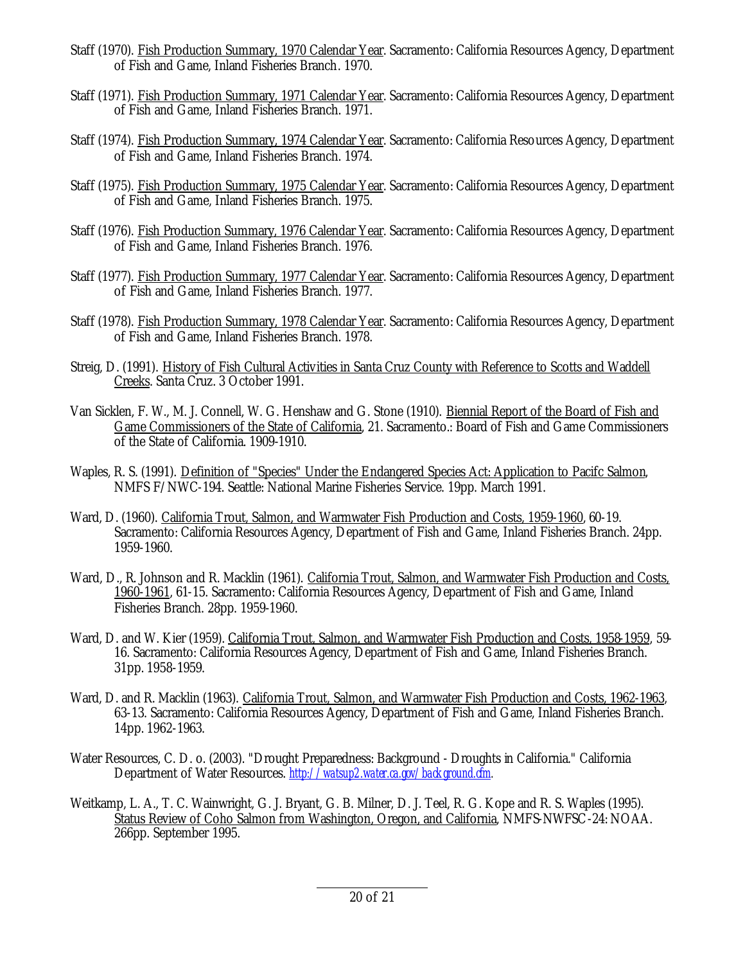- Staff (1970). Fish Production Summary, 1970 Calendar Year. Sacramento: California Resources Agency, Department of Fish and Game, Inland Fisheries Branch. 1970.
- Staff (1971). Fish Production Summary, 1971 Calendar Year. Sacramento: California Resources Agency, Department of Fish and Game, Inland Fisheries Branch. 1971.
- Staff (1974). Fish Production Summary, 1974 Calendar Year. Sacramento: California Resources Agency, Department of Fish and Game, Inland Fisheries Branch. 1974.
- Staff (1975). Fish Production Summary, 1975 Calendar Year. Sacramento: California Resources Agency, Department of Fish and Game, Inland Fisheries Branch. 1975.
- Staff (1976). Fish Production Summary, 1976 Calendar Year. Sacramento: California Resources Agency, Department of Fish and Game, Inland Fisheries Branch. 1976.
- Staff (1977). Fish Production Summary, 1977 Calendar Year. Sacramento: California Resources Agency, Department of Fish and Game, Inland Fisheries Branch. 1977.
- Staff (1978). Fish Production Summary, 1978 Calendar Year. Sacramento: California Resources Agency, Department of Fish and Game, Inland Fisheries Branch. 1978.
- Streig, D. (1991). History of Fish Cultural Activities in Santa Cruz County with Reference to Scotts and Waddell Creeks. Santa Cruz. 3 October 1991.
- Van Sicklen, F. W., M. J. Connell, W. G. Henshaw and G. Stone (1910). Biennial Report of the Board of Fish and Game Commissioners of the State of California, 21. Sacramento.: Board of Fish and Game Commissioners of the State of California. 1909-1910.
- Waples, R. S. (1991). Definition of "Species" Under the Endangered Species Act: Application to Pacifc Salmon, NMFS F/NWC-194. Seattle: National Marine Fisheries Service. 19pp. March 1991.
- Ward, D. (1960). California Trout, Salmon, and Warmwater Fish Production and Costs, 1959-1960, 60-19. Sacramento: California Resources Agency, Department of Fish and Game, Inland Fisheries Branch. 24pp. 1959-1960.
- Ward, D., R. Johnson and R. Macklin (1961). California Trout, Salmon, and Warmwater Fish Production and Costs, 1960-1961, 61-15. Sacramento: California Resources Agency, Department of Fish and Game, Inland Fisheries Branch. 28pp. 1959-1960.
- Ward, D. and W. Kier (1959). California Trout, Salmon, and Warmwater Fish Production and Costs, 1958-1959, 59- 16. Sacramento: California Resources Agency, Department of Fish and Game, Inland Fisheries Branch. 31pp. 1958-1959.
- Ward, D. and R. Macklin (1963). California Trout, Salmon, and Warmwater Fish Production and Costs, 1962-1963, 63-13. Sacramento: California Resources Agency, Department of Fish and Game, Inland Fisheries Branch. 14pp. 1962-1963.
- Water Resources, C. D. o. (2003). "Drought Preparedness: Background Droughts in California." California Department of Water Resources. *http://watsup2.water.ca.gov/background.cfm.*
- Weitkamp, L. A., T. C. Wainwright, G. J. Bryant, G. B. Milner, D. J. Teel, R. G. Kope and R. S. Waples (1995). Status Review of Coho Salmon from Washington, Oregon, and California, NMFS-NWFSC-24: NOAA. 266pp. September 1995.